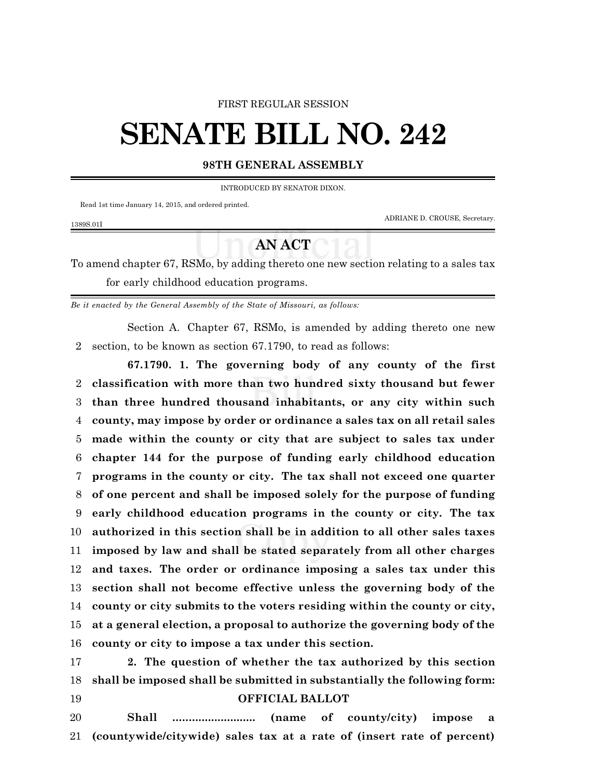#### FIRST REGULAR SESSION

# **SENATE BILL NO. 242**

## **98TH GENERAL ASSEMBLY**

INTRODUCED BY SENATOR DIXON.

Read 1st time January 14, 2015, and ordered printed.

1389S.01I

ADRIANE D. CROUSE, Secretary.

# **AN ACT**

To amend chapter 67, RSMo, by adding thereto one new section relating to a sales tax for early childhood education programs.

*Be it enacted by the General Assembly of the State of Missouri, as follows:*

Section A. Chapter 67, RSMo, is amended by adding thereto one new section, to be known as section 67.1790, to read as follows:

**67.1790. 1. The governing body of any county of the first classification with more than two hundred sixty thousand but fewer than three hundred thousand inhabitants, or any city within such county, may impose by order or ordinance a sales tax on all retail sales made within the county or city that are subject to sales tax under chapter 144 for the purpose of funding early childhood education programs in the county or city. The tax shall not exceed one quarter of one percent and shall be imposed solely for the purpose of funding early childhood education programs in the county or city. The tax authorized in this section shall be in addition to all other sales taxes imposed by law and shall be stated separately from all other charges and taxes. The order or ordinance imposing a sales tax under this section shall not become effective unless the governing body of the county or city submits to the voters residing within the county or city, at a general election, a proposal to authorize the governing body of the county or city to impose a tax under this section.**

 **2. The question of whether the tax authorized by this section shall be imposed shall be submitted in substantially the following form: OFFICIAL BALLOT**

 **Shall .......................... (name of county/city) impose a (countywide/citywide) sales tax at a rate of (insert rate of percent)**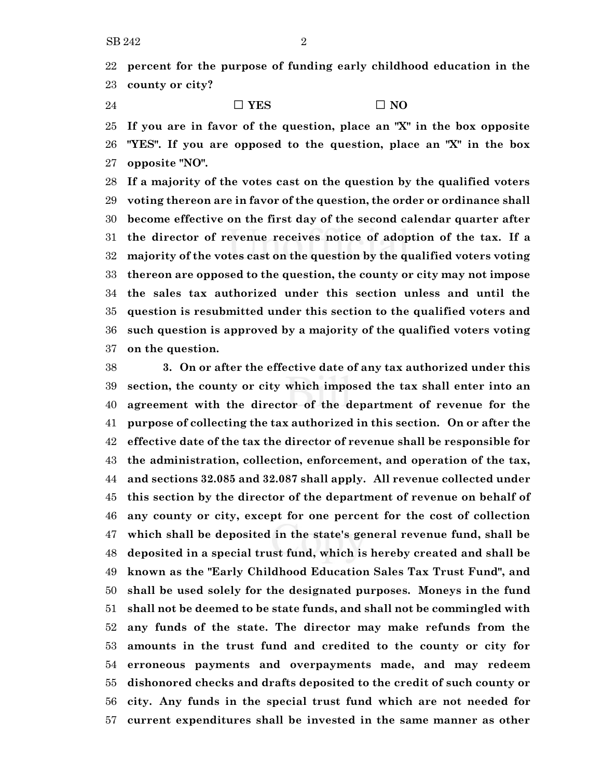**percent for the purpose of funding early childhood education in the county or city?**

24  $\square$  **YES**  $\square$  **NO** 

 **If you are in favor of the question, place an "X" in the box opposite "YES". If you are opposed to the question, place an "X" in the box opposite "NO".**

 **If a majority of the votes cast on the question by the qualified voters voting thereon are in favor of the question, the order or ordinance shall become effective on the first day of the second calendar quarter after the director of revenue receives notice of adoption of the tax. If a majority of the votes cast on the question by the qualified voters voting thereon are opposed to the question, the county or city may not impose the sales tax authorized under this section unless and until the question is resubmitted under this section to the qualified voters and such question is approved by a majority of the qualified voters voting on the question.**

 **3. On or after the effective date of any tax authorized under this section, the county or city which imposed the tax shall enter into an agreement with the director of the department of revenue for the purpose of collecting the tax authorized in this section. On or after the effective date of the tax the director of revenue shall be responsible for the administration, collection, enforcement, and operation of the tax, and sections 32.085 and 32.087 shall apply. All revenue collected under this section by the director of the department of revenue on behalf of any county or city, except for one percent for the cost of collection which shall be deposited in the state's general revenue fund, shall be deposited in a special trust fund, which is hereby created and shall be known as the "Early Childhood Education Sales Tax Trust Fund", and shall be used solely for the designated purposes. Moneys in the fund shall not be deemed to be state funds, and shall not be commingled with any funds of the state. The director may make refunds from the amounts in the trust fund and credited to the county or city for erroneous payments and overpayments made, and may redeem dishonored checks and drafts deposited to the credit of such county or city. Any funds in the special trust fund which are not needed for current expenditures shall be invested in the same manner as other**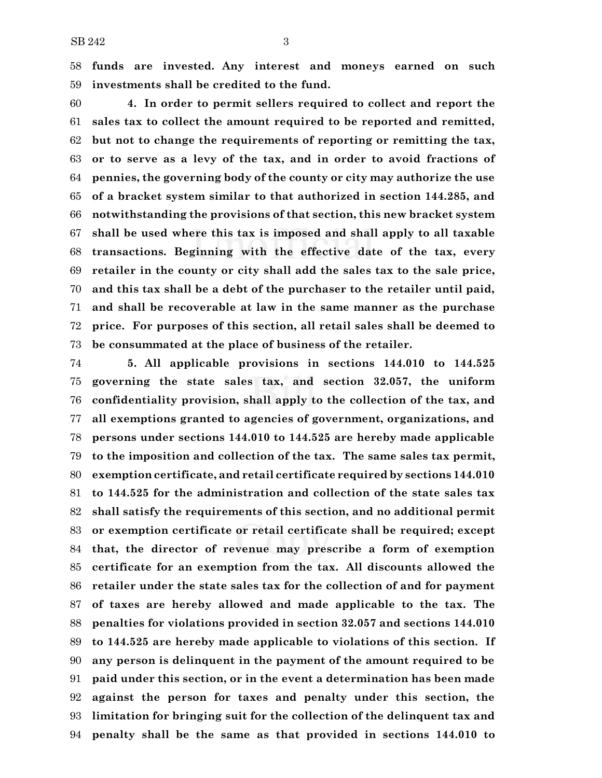**funds are invested. Any interest and moneys earned on such investments shall be credited to the fund.**

 **4. In order to permit sellers required to collect and report the sales tax to collect the amount required to be reported and remitted, but not to change the requirements of reporting or remitting the tax, or to serve as a levy of the tax, and in order to avoid fractions of pennies, the governing body of the county or city may authorize the use of a bracket system similar to that authorized in section 144.285, and notwithstanding the provisions of that section, this new bracket system shall be used where this tax is imposed and shall apply to all taxable transactions. Beginning with the effective date of the tax, every retailer in the county or city shall add the sales tax to the sale price, and this tax shall be a debt of the purchaser to the retailer until paid, and shall be recoverable at law in the same manner as the purchase price. For purposes of this section, all retail sales shall be deemed to be consummated at the place of business of the retailer.**

 **5. All applicable provisions in sections 144.010 to 144.525 governing the state sales tax, and section 32.057, the uniform confidentiality provision, shall apply to the collection of the tax, and all exemptions granted to agencies of government, organizations, and persons under sections 144.010 to 144.525 are hereby made applicable to the imposition and collection of the tax. The same sales tax permit, exemption certificate, and retail certificate required by sections 144.010 to 144.525 for the administration and collection of the state sales tax shall satisfy the requirements of this section, and no additional permit or exemption certificate or retail certificate shall be required; except that, the director of revenue may prescribe a form of exemption certificate for an exemption from the tax. All discounts allowed the retailer under the state sales tax for the collection of and for payment of taxes are hereby allowed and made applicable to the tax. The penalties for violations provided in section 32.057 and sections 144.010 to 144.525 are hereby made applicable to violations of this section. If any person is delinquent in the payment of the amount required to be paid under this section, or in the event a determination has been made against the person for taxes and penalty under this section, the limitation for bringing suit for the collection of the delinquent tax and penalty shall be the same as that provided in sections 144.010 to**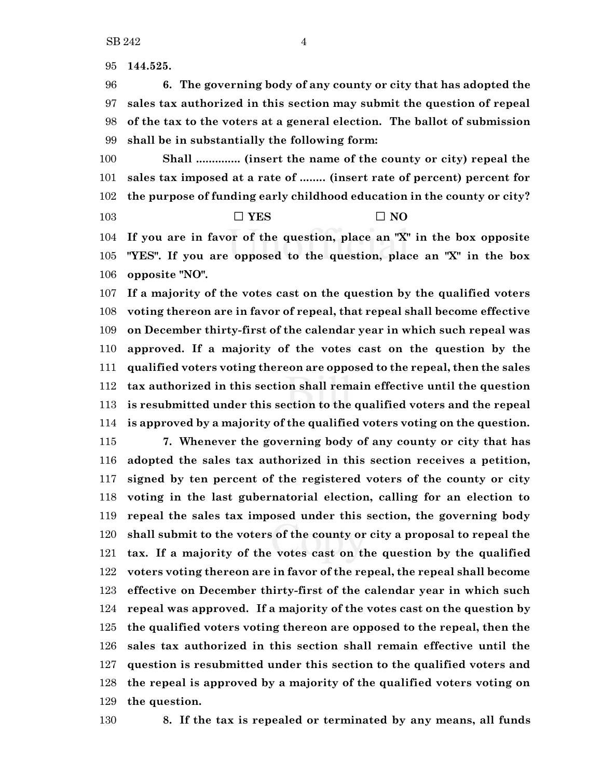**144.525.**

 **6. The governing body of any county or city that has adopted the sales tax authorized in this section may submit the question of repeal of the tax to the voters at a general election. The ballot of submission shall be in substantially the following form:**

 **Shall .............. (insert the name of the county or city) repeal the sales tax imposed at a rate of ........ (insert rate of percent) percent for the purpose of funding early childhood education in the county or city?**

### **D YES D NO**

 **If you are in favor of the question, place an "X" in the box opposite "YES". If you are opposed to the question, place an "X" in the box opposite "NO".**

 **If a majority of the votes cast on the question by the qualified voters voting thereon are in favor of repeal, that repeal shall become effective on December thirty-first of the calendar year in which such repeal was approved. If a majority of the votes cast on the question by the qualified voters voting thereon are opposed to the repeal, then the sales tax authorized in this section shall remain effective until the question is resubmitted under this section to the qualified voters and the repeal is approved by a majority of the qualified voters voting on the question. 7. Whenever the governing body of any county or city that has adopted the sales tax authorized in this section receives a petition, signed by ten percent of the registered voters of the county or city voting in the last gubernatorial election, calling for an election to repeal the sales tax imposed under this section, the governing body shall submit to the voters of the county or city a proposal to repeal the tax. If a majority of the votes cast on the question by the qualified voters voting thereon are in favor of the repeal, the repeal shall become**

 **effective on December thirty-first of the calendar year in which such repeal was approved. If a majority of the votes cast on the question by the qualified voters voting thereon are opposed to the repeal, then the sales tax authorized in this section shall remain effective until the question is resubmitted under this section to the qualified voters and the repeal is approved by a majority of the qualified voters voting on the question.**

**8. If the tax is repealed or terminated by any means, all funds**